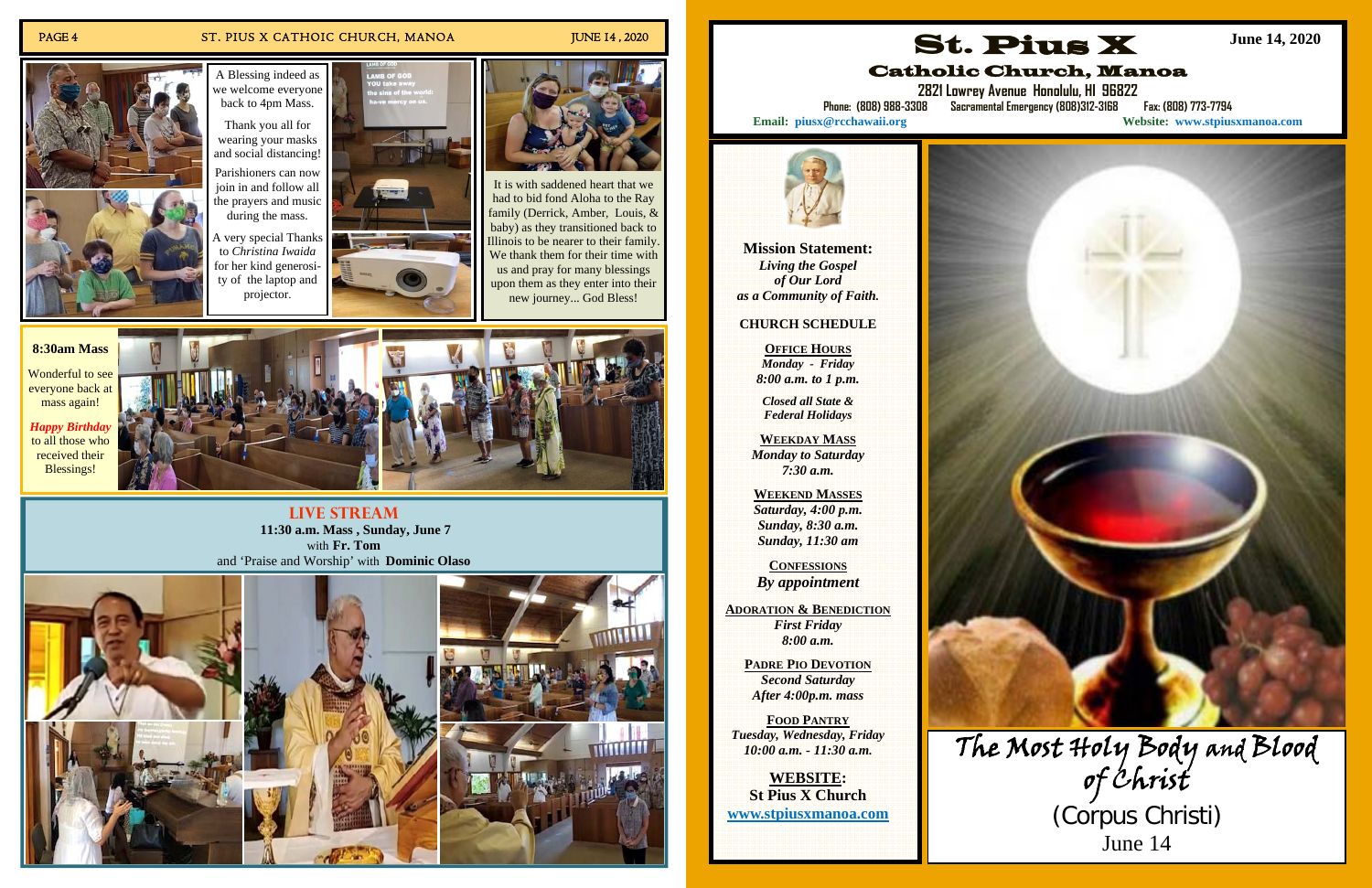### PAGE 4 ST. PIUS X CATHOIC CHURCH, MANOA JUNE 14, 2020

**Live Stream 11:30 a.m. Mass , Sunday, June 7**  with **Fr. Tom** and 'Praise and Worship' with **Dominic Olaso**









Wonderful to see everyone back at mass again!

*Happy Birthday*  to all those who received their Blessings!



It is with saddened heart that we had to bid fond Aloha to the Ray family (Derrick, Amber, Louis, & baby) as they transitioned back to Illinois to be nearer to their family. We thank them for their time with us and pray for many blessings upon them as they enter into their new journey... God Bless!

A Blessing indeed as we welcome everyone back to 4pm Mass.

> Thank you all for wearing your masks and social distancing!

Parishioners can now join in and follow all the prayers and music during the mass.

A very special Thanks to *Christina Iwaida*  for her kind generosity of the laptop and projector.



**Mission Statement:**  *Living the Gospel of Our Lord as a Community of Faith.* 

### **CHURCH SCHEDULE**

**OFFICE HOURS***Monday - Friday 8:00 a.m. to 1 p.m.* 

*Closed all State & Federal Holidays* 

**WEEKDAY MASS**  *Monday to Saturday 7:30 a.m.* 

**WEEKEND MASSES** *Saturday, 4:00 p.m. Sunday, 8:30 a.m. Sunday, 11:30 am* 

**CONFESSIONS***By appointment* 

**ADORATION & BENEDICTION** *First Friday 8:00 a.m.* 

> **PADRE PIO DEVOTION** *Second Saturday After 4:00p.m. mass*

**FOOD PANTRY***Tuesday, Wednesday, Friday 10:00 a.m. - 11:30 a.m.* 

**WEBSITE:St Pius X Church www.stpiusxmanoa.com** 

St. Pius X

# Catholic Church, Manoa

**2821 Lowrey Avenue Honolulu, HI 96822 Phone: (808) 988-3308 Sacramental Emergency (808)312-3168 Fax: (808) 773-7794 Email: piusx@rcchawaii.org Website: www.stpiusxmanoa.com**



**June 14, 2020** 



(Corpus Christi) June 14